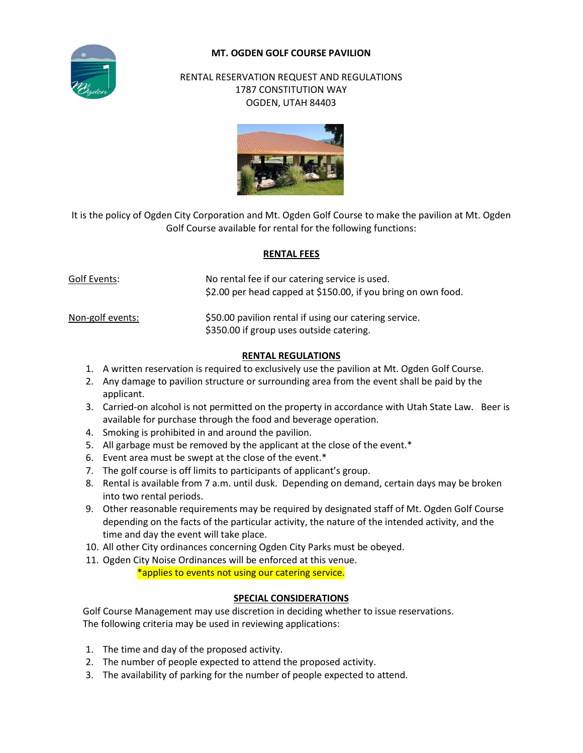## **MT. OGDEN GOLF COURSE PAVILION**



### RENTAL RESERVATION REQUEST AND REGULATIONS 1787 CONSTITUTION WAY OGDEN, UTAH 84403



It is the policy of Ogden City Corporation and Mt. Ogden Golf Course to make the pavilion at Mt. Ogden Golf Course available for rental for the following functions:

#### **RENTAL FEES**

| Golf Events:     | No rental fee if our catering service is used.<br>\$2.00 per head capped at \$150.00, if you bring on own food. |
|------------------|-----------------------------------------------------------------------------------------------------------------|
| Non-golf events: | \$50.00 pavilion rental if using our catering service.<br>\$350.00 if group uses outside catering.              |

#### **RENTAL REGULATIONS**

- 1. A written reservation is required to exclusively use the pavilion at Mt. Ogden Golf Course.
- 2. Any damage to pavilion structure or surrounding area from the event shall be paid by the applicant.
- 3. Carried-on alcohol is not permitted on the property in accordance with Utah State Law. Beer is available for purchase through the food and beverage operation.
- 4. Smoking is prohibited in and around the pavilion.
- 5. All garbage must be removed by the applicant at the close of the event.\*
- 6. Event area must be swept at the close of the event.\*
- 7. The golf course is off limits to participants of applicant's group.
- 8. Rental is available from 7 a.m. until dusk. Depending on demand, certain days may be broken into two rental periods.
- 9. Other reasonable requirements may be required by designated staff of Mt. Ogden Golf Course depending on the facts of the particular activity, the nature of the intended activity, and the time and day the event will take place.
- 10. All other City ordinances concerning Ogden City Parks must be obeyed.
- 11. Ogden City Noise Ordinances will be enforced at this venue.

\*applies to events not using our catering service.

# **SPECIAL CONSIDERATIONS**

 Golf Course Management may use discretion in deciding whether to issue reservations. The following criteria may be used in reviewing applications:

- 1. The time and day of the proposed activity.
- 2. The number of people expected to attend the proposed activity.
- 3. The availability of parking for the number of people expected to attend.